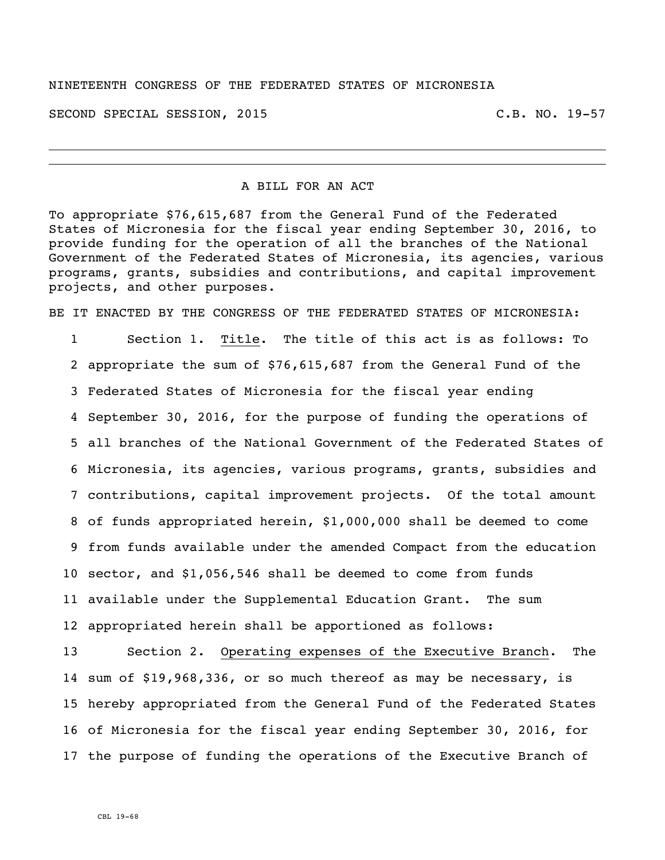#### NINETEENTH CONGRESS OF THE FEDERATED STATES OF MICRONESIA

SECOND SPECIAL SESSION, 2015 C.B. NO. 19-57

A BILL FOR AN ACT

To appropriate \$76,615,687 from the General Fund of the Federated States of Micronesia for the fiscal year ending September 30, 2016, to provide funding for the operation of all the branches of the National Government of the Federated States of Micronesia, its agencies, various programs, grants, subsidies and contributions, and capital improvement projects, and other purposes.

BE IT ENACTED BY THE CONGRESS OF THE FEDERATED STATES OF MICRONESIA:

 Section 1. Title. The title of this act is as follows: To appropriate the sum of \$76,615,687 from the General Fund of the Federated States of Micronesia for the fiscal year ending September 30, 2016, for the purpose of funding the operations of all branches of the National Government of the Federated States of Micronesia, its agencies, various programs, grants, subsidies and contributions, capital improvement projects. Of the total amount of funds appropriated herein, \$1,000,000 shall be deemed to come from funds available under the amended Compact from the education sector, and \$1,056,546 shall be deemed to come from funds available under the Supplemental Education Grant. The sum appropriated herein shall be apportioned as follows:

 Section 2. Operating expenses of the Executive Branch. The sum of \$19,968,336, or so much thereof as may be necessary, is hereby appropriated from the General Fund of the Federated States of Micronesia for the fiscal year ending September 30, 2016, for the purpose of funding the operations of the Executive Branch of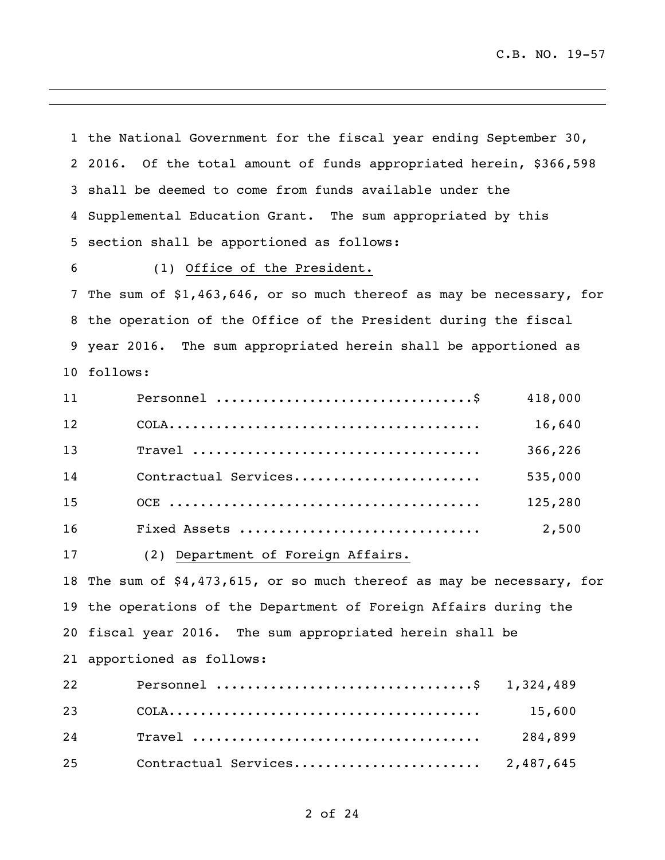the National Government for the fiscal year ending September 30, 2016. Of the total amount of funds appropriated herein, \$366,598 shall be deemed to come from funds available under the Supplemental Education Grant. The sum appropriated by this section shall be apportioned as follows: (1) Office of the President. The sum of \$1,463,646, or so much thereof as may be necessary, for the operation of the Office of the President during the fiscal year 2016. The sum appropriated herein shall be apportioned as follows: Personnel .................................\$ 418,000 COLA........................................ 16,640 Travel ..................................... 366,226 Contractual Services........................ 535,000 OCE ........................................ 125,280 Fixed Assets ............................... 2,500 (2) Department of Foreign Affairs. The sum of \$4,473,615, or so much thereof as may be necessary, for the operations of the Department of Foreign Affairs during the fiscal year 2016. The sum appropriated herein shall be apportioned as follows:

| 22 | Personnel \$ 1,324,489 |  |
|----|------------------------|--|
|    |                        |  |
|    |                        |  |
| 25 |                        |  |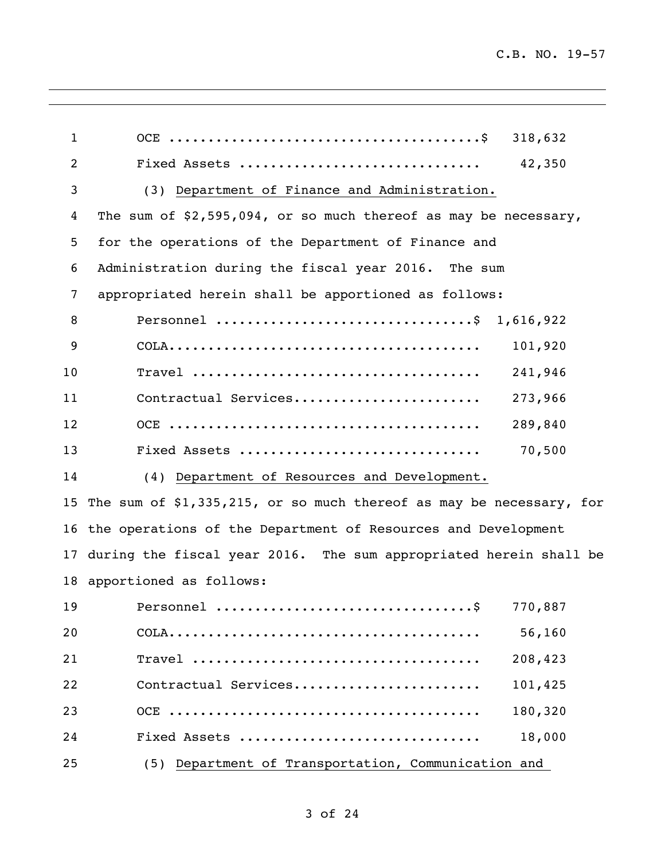| $\mathbf 1$    | 318,632                                                              |
|----------------|----------------------------------------------------------------------|
| $\overline{c}$ | Fixed Assets<br>42,350                                               |
| 3              | (3) Department of Finance and Administration.                        |
| 4              | The sum of $$2,595,094$ , or so much thereof as may be necessary,    |
| 5              | for the operations of the Department of Finance and                  |
| 6              | Administration during the fiscal year 2016. The sum                  |
| 7              | appropriated herein shall be apportioned as follows:                 |
| 8              | Personnel \$ 1,616,922                                               |
| 9              | 101,920                                                              |
| 10             | 241,946                                                              |
| 11             | 273,966<br>Contractual Services                                      |
| 12             | 289,840                                                              |
| 13             | 70,500<br>Fixed Assets                                               |
| 14             | (4) Department of Resources and Development.                         |
| 15             | The sum of \$1,335,215, or so much thereof as may be necessary, for  |
|                | 16 the operations of the Department of Resources and Development     |
|                | 17 during the fiscal year 2016. The sum appropriated herein shall be |
|                | 18 apportioned as follows:                                           |
|                |                                                                      |
| 20             | 56,160                                                               |
| 21             | 208,423                                                              |
| 22             | Contractual Services<br>101,425                                      |
| 23             | 180,320                                                              |
| 24             | 18,000<br>Fixed Assets                                               |
| 25             | (5) Department of Transportation, Communication and                  |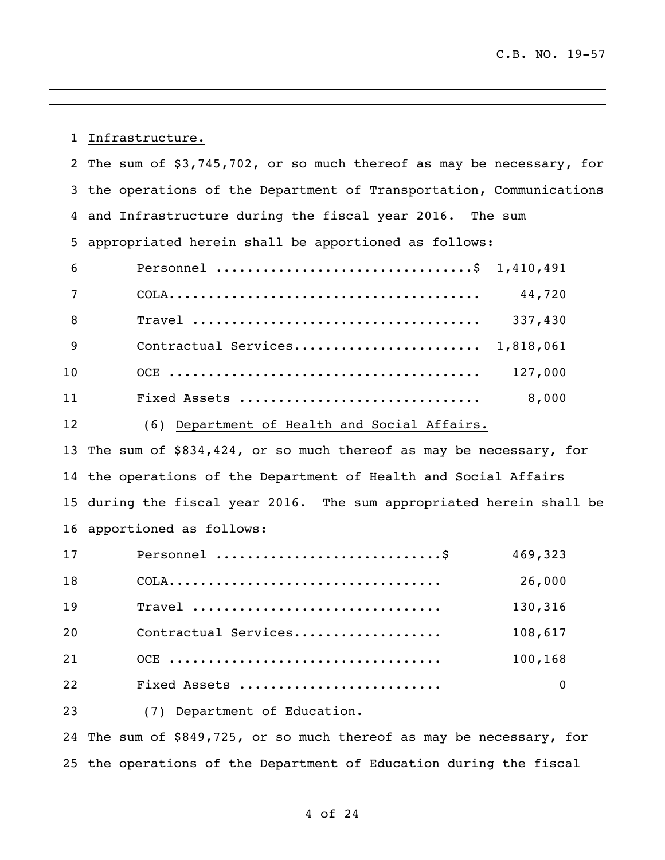Infrastructure.

|                | 2 The sum of \$3,745,702, or so much thereof as may be necessary, for                         |
|----------------|-----------------------------------------------------------------------------------------------|
|                | 3 the operations of the Department of Transportation, Communications                          |
|                | 4 and Infrastructure during the fiscal year 2016. The sum                                     |
| 5 <sub>1</sub> | appropriated herein shall be apportioned as follows:                                          |
| 6              | Personnel \$ 1,410,491                                                                        |
| 7              | 44,720                                                                                        |
| 8              | 337,430                                                                                       |
| 9              | Contractual Services 1,818,061                                                                |
| 10             | 127,000                                                                                       |
| 11             | 8,000<br>Fixed Assets                                                                         |
| 12             | (6) Department of Health and Social Affairs.                                                  |
|                | 13 The sum of \$834,424, or so much thereof as may be necessary, for                          |
|                | 14 the operations of the Department of Health and Social Affairs                              |
|                | 15 during the fiscal year 2016. The sum appropriated herein shall be                          |
|                | 16 apportioned as follows:                                                                    |
| 17             | 469,323                                                                                       |
| 18             | 26,000<br>$COLA \ldots \ldots \ldots \ldots \ldots \ldots \ldots \ldots \ldots \ldots \ldots$ |
| 19             | 130,316<br>Travel                                                                             |
| 20             | Contractual Services<br>108,617                                                               |

Fixed Assets .......................... 0

OCE ................................... 100,168

(7) Department of Education.

 The sum of \$849,725, or so much thereof as may be necessary, for the operations of the Department of Education during the fiscal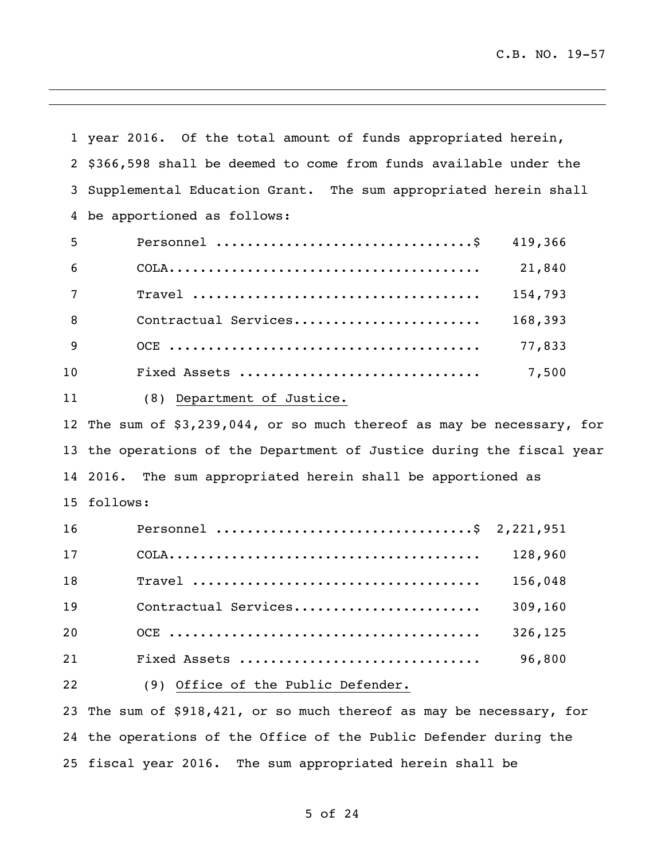year 2016. Of the total amount of funds appropriated herein, \$366,598 shall be deemed to come from funds available under the Supplemental Education Grant. The sum appropriated herein shall be apportioned as follows: Personnel .................................\$ 419,366 COLA........................................ 21,840 Travel ..................................... 154,793 8 Contractual Services............................. 168,393 OCE ........................................ 77,833 Fixed Assets ............................... 7,500 (8) Department of Justice. The sum of \$3,239,044, or so much thereof as may be necessary, for the operations of the Department of Justice during the fiscal year 2016. The sum appropriated herein shall be apportioned as follows: Personnel .................................\$ 2,221,951 COLA........................................ 128,960 Travel ..................................... 156,048 Contractual Services........................ 309,160 OCE ........................................ 326,125 Fixed Assets ............................... 96,800 (9) Office of the Public Defender.

 The sum of \$918,421, or so much thereof as may be necessary, for the operations of the Office of the Public Defender during the fiscal year 2016. The sum appropriated herein shall be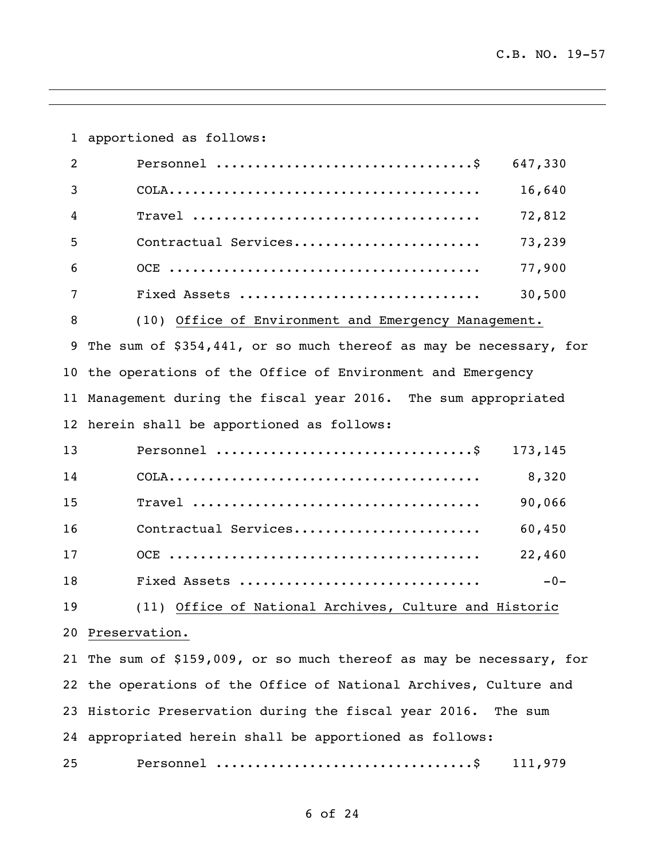apportioned as follows: Personnel .................................\$ 647,330 COLA........................................ 16,640 Travel ..................................... 72,812 Contractual Services........................ 73,239 OCE ........................................ 77,900 Fixed Assets ............................... 30,500 (10) Office of Environment and Emergency Management. The sum of \$354,441, or so much thereof as may be necessary, for the operations of the Office of Environment and Emergency Management during the fiscal year 2016. The sum appropriated herein shall be apportioned as follows: Personnel .................................\$ 173,145 COLA........................................ 8,320 Travel ..................................... 90,066 Contractual Services........................ 60,450 OCE ........................................ 22,460 Fixed Assets ............................... -0- (11) Office of National Archives, Culture and Historic Preservation. The sum of \$159,009, or so much thereof as may be necessary, for the operations of the Office of National Archives, Culture and Historic Preservation during the fiscal year 2016. The sum appropriated herein shall be apportioned as follows: Personnel .................................\$ 111,979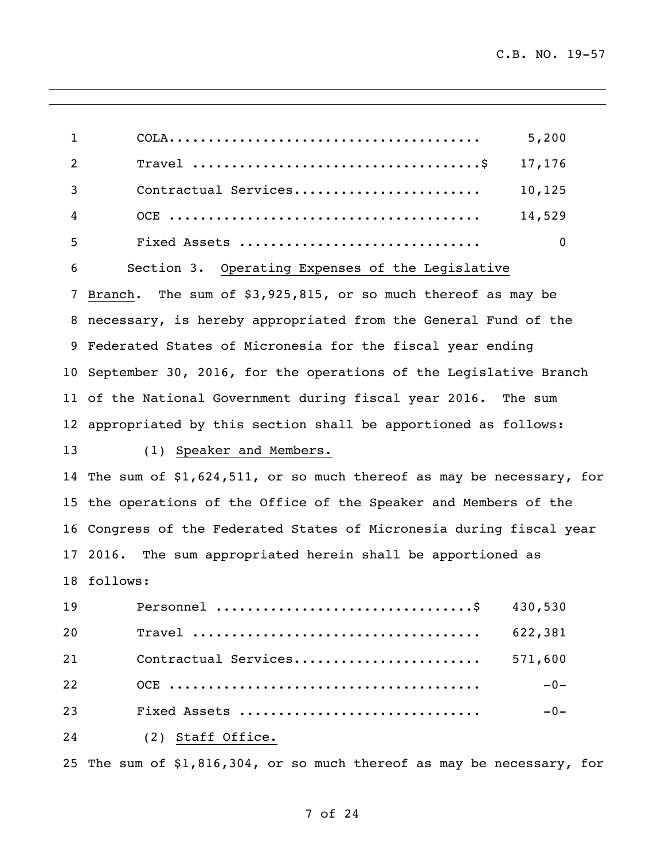| $\mathbf{1}$ | 5,200                                                                 |
|--------------|-----------------------------------------------------------------------|
| 2            | 17,176                                                                |
| 3            | Contractual Services<br>10,125                                        |
| 4            | 14,529                                                                |
| 5            | $\mathbf 0$<br>Fixed Assets                                           |
| 6            | Section 3. Operating Expenses of the Legislative                      |
| 7            | The sum of $$3,925,815$ , or so much thereof as may be<br>Branch.     |
| 8            | necessary, is hereby appropriated from the General Fund of the        |
| 9            | Federated States of Micronesia for the fiscal year ending             |
| 10           | September 30, 2016, for the operations of the Legislative Branch      |
|              | 11 of the National Government during fiscal year 2016. The sum        |
|              | 12 appropriated by this section shall be apportioned as follows:      |
| 13           | (1) Speaker and Members.                                              |
| 14           | The sum of $$1,624,511$ , or so much thereof as may be necessary, for |
| 15           | the operations of the Office of the Speaker and Members of the        |
| 16           | Congress of the Federated States of Micronesia during fiscal year     |
| 17           | The sum appropriated herein shall be apportioned as<br>2016.          |
| 18           | follows:                                                              |
| 19           | 430,530                                                               |
| 20           | 622,381                                                               |
| 21           | Contractual Services<br>571,600                                       |
| 22           | $-0-$                                                                 |
| 23           | Fixed Assets<br>$-0-$                                                 |
| 24           | (2) Staff Office.                                                     |
|              |                                                                       |

The sum of \$1,816,304, or so much thereof as may be necessary, for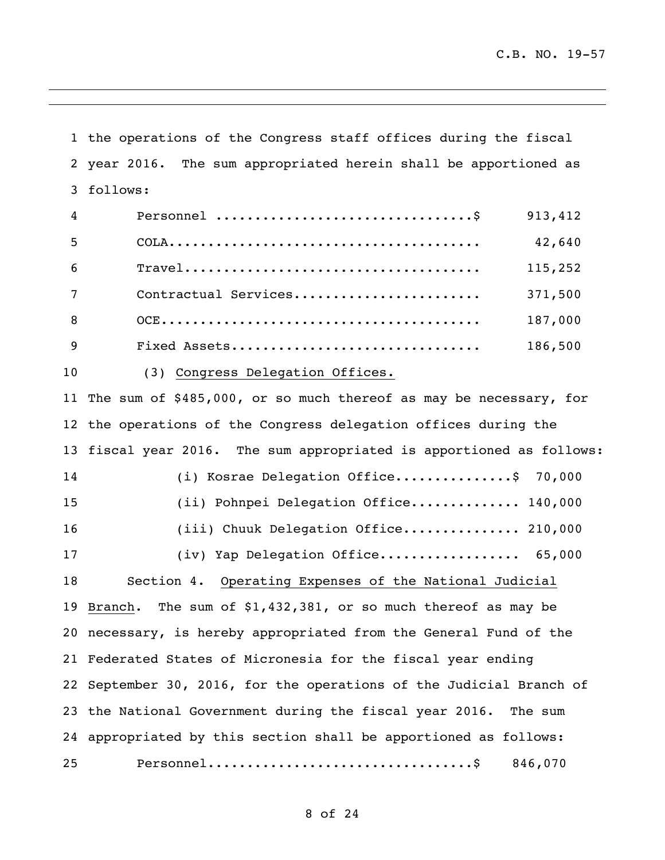the operations of the Congress staff offices during the fiscal year 2016. The sum appropriated herein shall be apportioned as follows: Personnel .................................\$ 913,412 COLA........................................ 42,640 Travel...................................... 115,252 Contractual Services........................ 371,500 OCE......................................... 187,000 Fixed Assets................................ 186,500 (3) Congress Delegation Offices. The sum of \$485,000, or so much thereof as may be necessary, for the operations of the Congress delegation offices during the fiscal year 2016. The sum appropriated is apportioned as follows: (i) Kosrae Delegation Office...............\$ 70,000 (ii) Pohnpei Delegation Office.............. 140,000 16 (iii) Chuuk Delegation Office................ 210,000 17 (iv) Yap Delegation Office..................... 65,000 Section 4. Operating Expenses of the National Judicial Branch. The sum of \$1,432,381, or so much thereof as may be necessary, is hereby appropriated from the General Fund of the Federated States of Micronesia for the fiscal year ending September 30, 2016, for the operations of the Judicial Branch of the National Government during the fiscal year 2016. The sum appropriated by this section shall be apportioned as follows: Personnel..................................\$ 846,070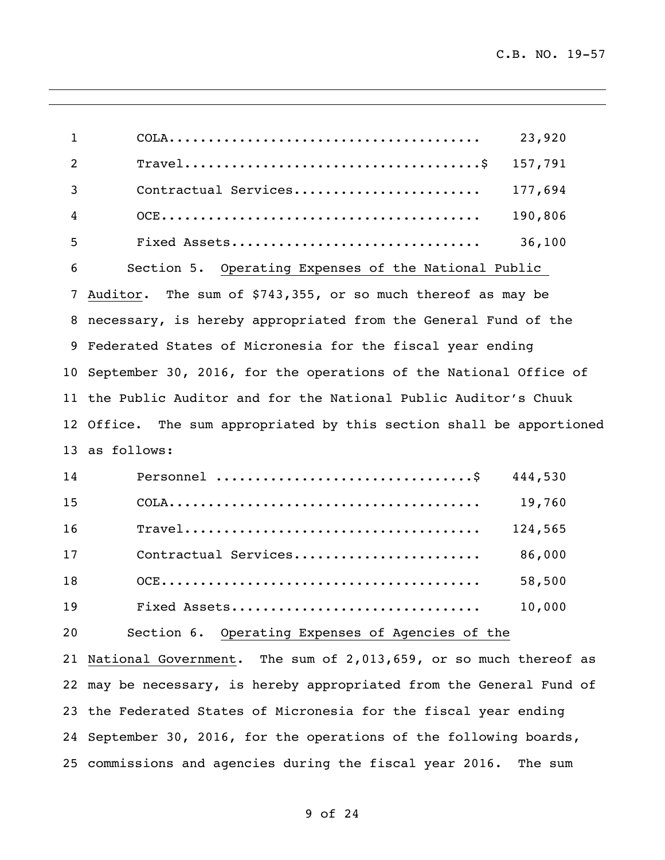| $\mathbf{1}$ | 23,920                                                               |
|--------------|----------------------------------------------------------------------|
| 2            | 157,791                                                              |
| 3            | Contractual Services<br>177,694                                      |
| 4            | 190,806                                                              |
| 5            | 36,100<br>Fixed Assets                                               |
| 6            | Section 5. Operating Expenses of the National Public                 |
| 7            | Auditor. The sum of \$743,355, or so much thereof as may be          |
|              | 8 necessary, is hereby appropriated from the General Fund of the     |
|              | 9 Federated States of Micronesia for the fiscal year ending          |
|              | 10 September 30, 2016, for the operations of the National Office of  |
|              | 11 the Public Auditor and for the National Public Auditor's Chuuk    |
|              | 12 Office. The sum appropriated by this section shall be apportioned |
|              | 13 as follows:                                                       |
| 14           | 444,530                                                              |
| 15           | 19,760                                                               |
| 16           | 124,565                                                              |
| 17           | Contractual Services<br>86,000                                       |
| 18           | 58,500                                                               |
| 19           | 10,000<br>Fixed Assets                                               |
| 20           | Section 6. Operating Expenses of Agencies of the                     |
|              | 21 National Government. The sum of 2,013,659, or so much thereof as  |
|              | 22 may be necessary, is hereby appropriated from the General Fund of |
|              | 23 the Federated States of Micronesia for the fiscal year ending     |
|              | 24 September 30, 2016, for the operations of the following boards,   |
|              | 25 commissions and agencies during the fiscal year 2016. The sum     |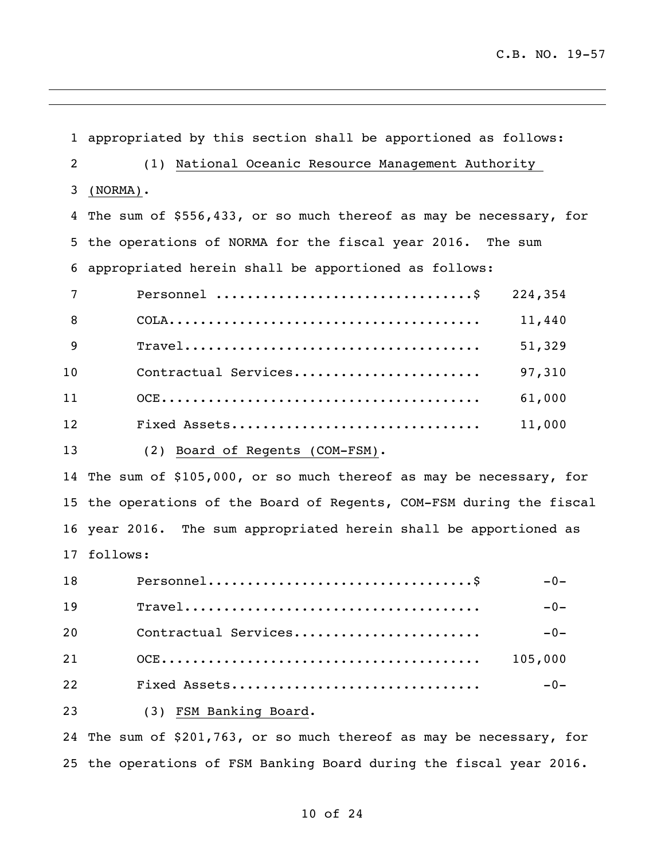appropriated by this section shall be apportioned as follows: (1) National Oceanic Resource Management Authority (NORMA). The sum of \$556,433, or so much thereof as may be necessary, for the operations of NORMA for the fiscal year 2016. The sum appropriated herein shall be apportioned as follows: Personnel .................................\$ 224,354 COLA........................................ 11,440 Travel...................................... 51,329 Contractual Services........................ 97,310 OCE......................................... 61,000 Fixed Assets................................ 11,000 (2) Board of Regents (COM-FSM).

 The sum of \$105,000, or so much thereof as may be necessary, for the operations of the Board of Regents, COM-FSM during the fiscal year 2016. The sum appropriated herein shall be apportioned as follows:

| 18 |                      | $-0-$   |
|----|----------------------|---------|
| 19 |                      | $-0-$   |
| 20 | Contractual Services | $-0-$   |
| 21 |                      | 105,000 |
| 22 | Fixed Assets         | $-0-$   |
|    |                      |         |

(3) FSM Banking Board.

 The sum of \$201,763, or so much thereof as may be necessary, for the operations of FSM Banking Board during the fiscal year 2016.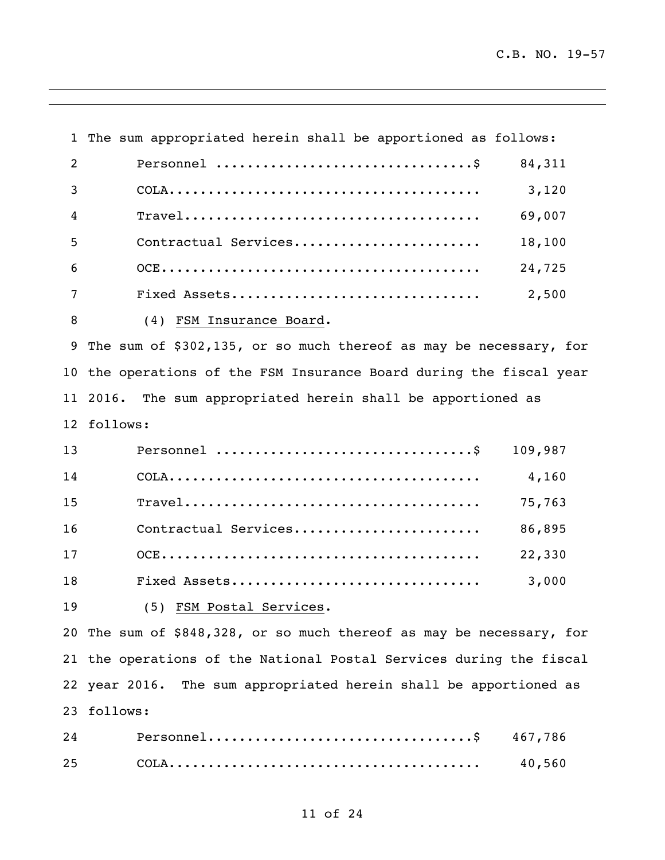The sum appropriated herein shall be apportioned as follows: Personnel .................................\$ 84,311 COLA........................................ 3,120 Travel...................................... 69,007 Contractual Services........................ 18,100 OCE......................................... 24,725 Fixed Assets................................ 2,500 (4) FSM Insurance Board. The sum of \$302,135, or so much thereof as may be necessary, for the operations of the FSM Insurance Board during the fiscal year 2016. The sum appropriated herein shall be apportioned as follows: Personnel .................................\$ 109,987 COLA........................................ 4,160 Travel...................................... 75,763 Contractual Services........................ 86,895 OCE......................................... 22,330 Fixed Assets................................ 3,000 (5) FSM Postal Services. The sum of \$848,328, or so much thereof as may be necessary, for the operations of the National Postal Services during the fiscal year 2016. The sum appropriated herein shall be apportioned as follows: Personnel..................................\$ 467,786

COLA........................................ 40,560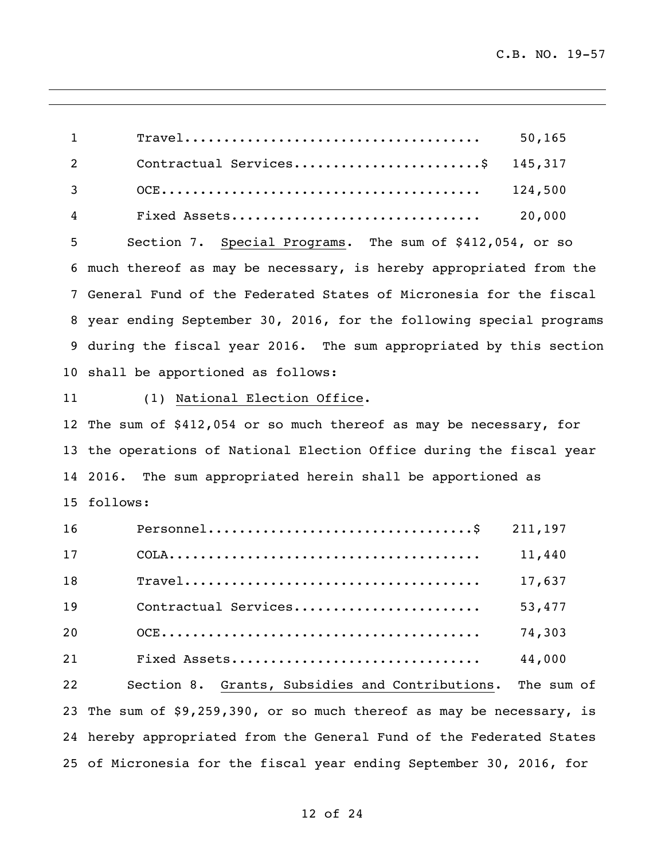Travel...................................... 50,165 2 Contractual Services..........................\$ 145,317 OCE......................................... 124,500 Fixed Assets................................ 20,000 Section 7. Special Programs. The sum of \$412,054, or so much thereof as may be necessary, is hereby appropriated from the General Fund of the Federated States of Micronesia for the fiscal year ending September 30, 2016, for the following special programs during the fiscal year 2016. The sum appropriated by this section shall be apportioned as follows: (1) National Election Office. The sum of \$412,054 or so much thereof as may be necessary, for the operations of National Election Office during the fiscal year 2016. The sum appropriated herein shall be apportioned as follows: Personnel..................................\$ 211,197 COLA........................................ 11,440 Travel...................................... 17,637 Contractual Services........................ 53,477 OCE......................................... 74,303 Fixed Assets................................ 44,000 Section 8. Grants, Subsidies and Contributions. The sum of The sum of \$9,259,390, or so much thereof as may be necessary, is hereby appropriated from the General Fund of the Federated States of Micronesia for the fiscal year ending September 30, 2016, for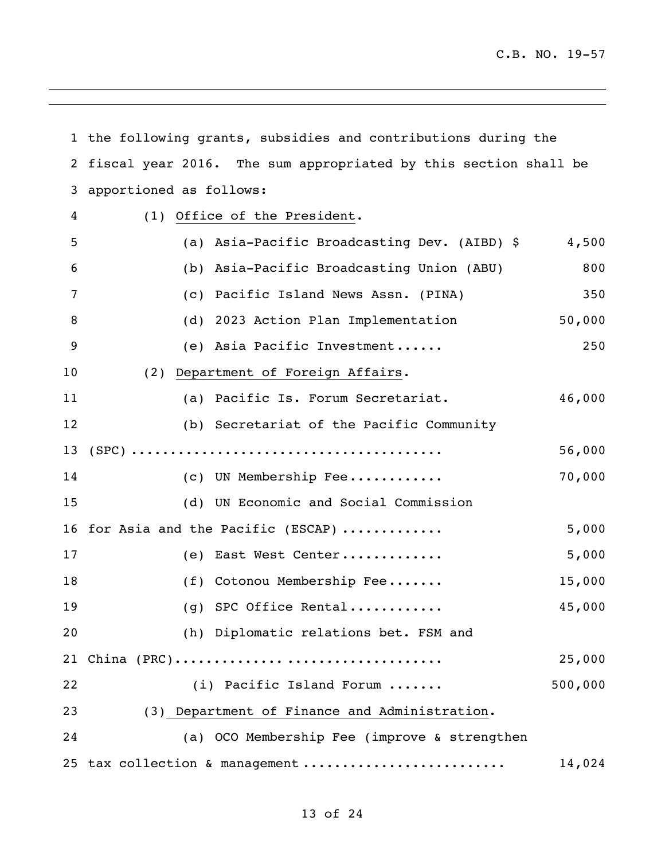|                | 1 the following grants, subsidies and contributions during the  |         |
|----------------|-----------------------------------------------------------------|---------|
| $\overline{2}$ | fiscal year 2016. The sum appropriated by this section shall be |         |
| 3              | apportioned as follows:                                         |         |
| 4              | (1) Office of the President.                                    |         |
| 5              | (a) Asia-Pacific Broadcasting Dev. (AIBD) \$                    | 4,500   |
| 6              | (b) Asia-Pacific Broadcasting Union (ABU)                       | 800     |
| 7              | (c) Pacific Island News Assn. (PINA)                            | 350     |
| 8              | (d) 2023 Action Plan Implementation                             | 50,000  |
| 9              | (e) Asia Pacific Investment                                     | 250     |
| 10             | (2) Department of Foreign Affairs.                              |         |
| 11             | (a) Pacific Is. Forum Secretariat.                              | 46,000  |
| 12             | (b) Secretariat of the Pacific Community                        |         |
| 13             |                                                                 | 56,000  |
| 14             | (c) UN Membership Fee                                           | 70,000  |
| 15             | (d) UN Economic and Social Commission                           |         |
|                | 16 for Asia and the Pacific (ESCAP)                             | 5,000   |
| 17             | (e) East West Center                                            | 5,000   |
| 18             | (f) Cotonou Membership Fee                                      | 15,000  |
| 19             | (g) SPC Office Rental                                           | 45,000  |
| 20             | (h) Diplomatic relations bet. FSM and                           |         |
| 21             | China (PRC)                                                     | 25,000  |
| 22             | (i) Pacific Island Forum                                        | 500,000 |
| 23             | (3) Department of Finance and Administration.                   |         |
| 24             | (a) OCO Membership Fee (improve & strengthen                    |         |
| 25             | tax collection & management                                     | 14,024  |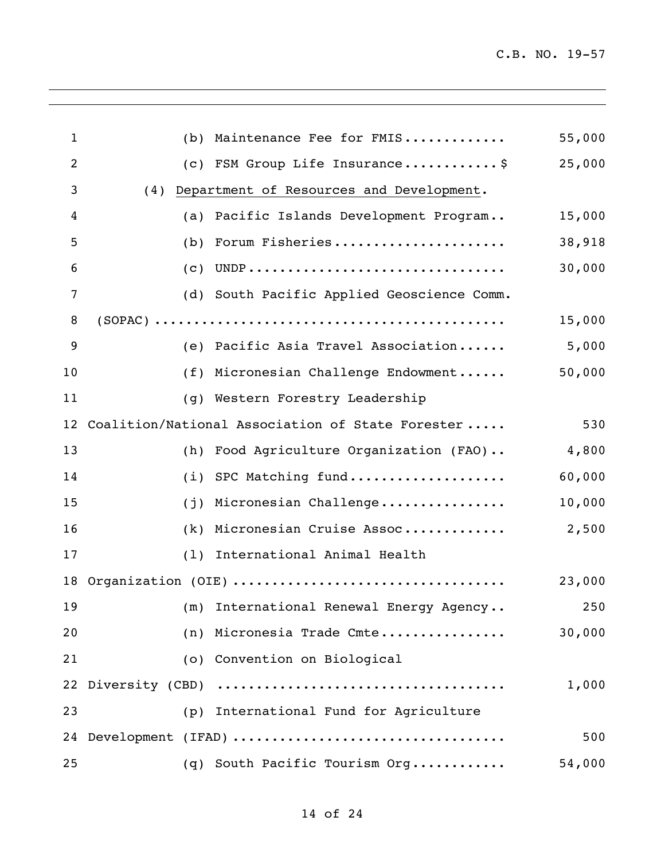| $\mathbf{1}$   | (b) | Maintenance Fee for FMIS                         | 55,000 |
|----------------|-----|--------------------------------------------------|--------|
| $\overline{2}$ |     | (c) FSM Group Life Insurance\$                   | 25,000 |
| 3              | (4) | Department of Resources and Development.         |        |
| 4              | (a) | Pacific Islands Development Program              | 15,000 |
| 5              | (b) | Forum Fisheries                                  | 38,918 |
| 6              |     | $(C)$ UNDP                                       | 30,000 |
| 7              |     | (d) South Pacific Applied Geoscience Comm.       |        |
| 8              |     |                                                  | 15,000 |
| 9              |     | (e) Pacific Asia Travel Association              | 5,000  |
| 10             |     | (f) Micronesian Challenge Endowment              | 50,000 |
| 11             | (q) | Western Forestry Leadership                      |        |
| 12             |     | Coalition/National Association of State Forester | 530    |
| 13             |     | (h) Food Agriculture Organization (FAO)          | 4,800  |
| 14             |     | (i) SPC Matching fund                            | 60,000 |
| 15             | (j) | Micronesian Challenge                            | 10,000 |
| 16             |     | (k) Micronesian Cruise Assoc                     | 2,500  |
| 17             |     | (1) International Animal Health                  |        |
| 18             |     | Organization (OIE)                               | 23,000 |
| 19             |     | (m) International Renewal Energy Agency 250      |        |
| 20             |     | (n) Micronesia Trade Cmte                        | 30,000 |
| 21             |     | (o) Convention on Biological                     |        |
|                |     |                                                  | 1,000  |
| 23             |     | (p) International Fund for Agriculture           |        |
|                |     | 24 Development (IFAD)                            | 500    |
| 25             |     | (q) South Pacific Tourism Org                    | 54,000 |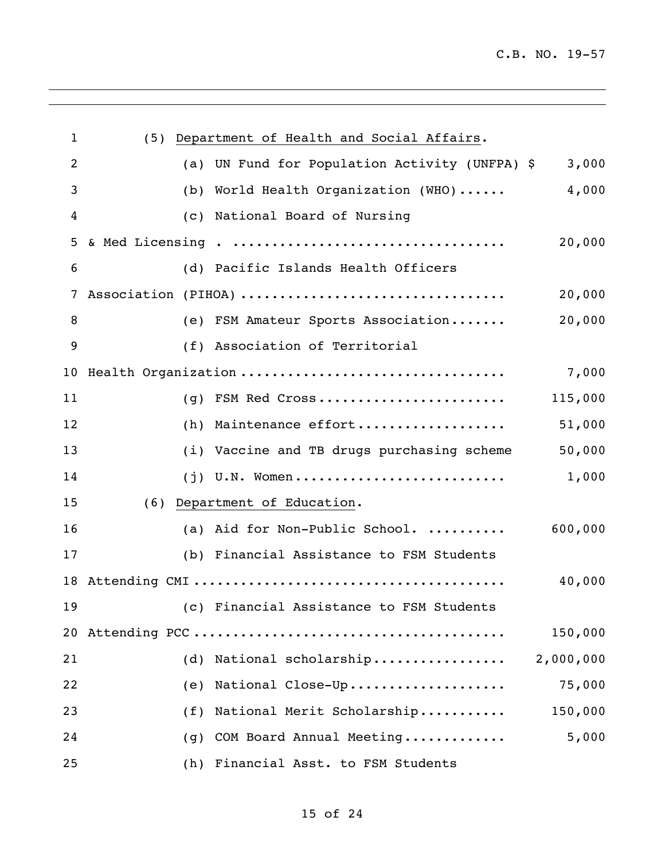| $\mathbf{1}$    |     | (5) Department of Health and Social Affairs.   |           |
|-----------------|-----|------------------------------------------------|-----------|
| 2               |     | (a) UN Fund for Population Activity (UNFPA) \$ | 3,000     |
| 3               |     | (b) World Health Organization (WHO)            | 4,000     |
| 4               |     | (c) National Board of Nursing                  |           |
| 5               |     |                                                | 20,000    |
| 6               |     | (d) Pacific Islands Health Officers            |           |
| 7               |     | Association (PIHOA)                            | 20,000    |
| 8               |     | (e) FSM Amateur Sports Association             | 20,000    |
| 9               |     | (f) Association of Territorial                 |           |
| 10 <sub>o</sub> |     | Health Organization                            | 7,000     |
| 11              |     | (g) FSM Red Cross                              | 115,000   |
| 12              |     | (h) Maintenance effort                         | 51,000    |
| 13              |     | (i) Vaccine and TB drugs purchasing scheme     | 50,000    |
| 14              |     | $(j)$ U.N. Women                               | 1,000     |
| 15              |     | (6) Department of Education.                   |           |
| 16              |     | (a) Aid for Non-Public School.                 | 600,000   |
| 17              |     | (b) Financial Assistance to FSM Students       |           |
| 18              |     |                                                | 40,000    |
| 19              |     | (c) Financial Assistance to FSM Students       |           |
| 20              |     |                                                | 150,000   |
| 21              | (d) | National scholarship                           | 2,000,000 |
| 22              | (e) | National Close-Up                              | 75,000    |
| 23              | (f) | National Merit Scholarship                     | 150,000   |
| 24              | (q) | COM Board Annual Meeting                       | 5,000     |
| 25              | (h) | Financial Asst. to FSM Students                |           |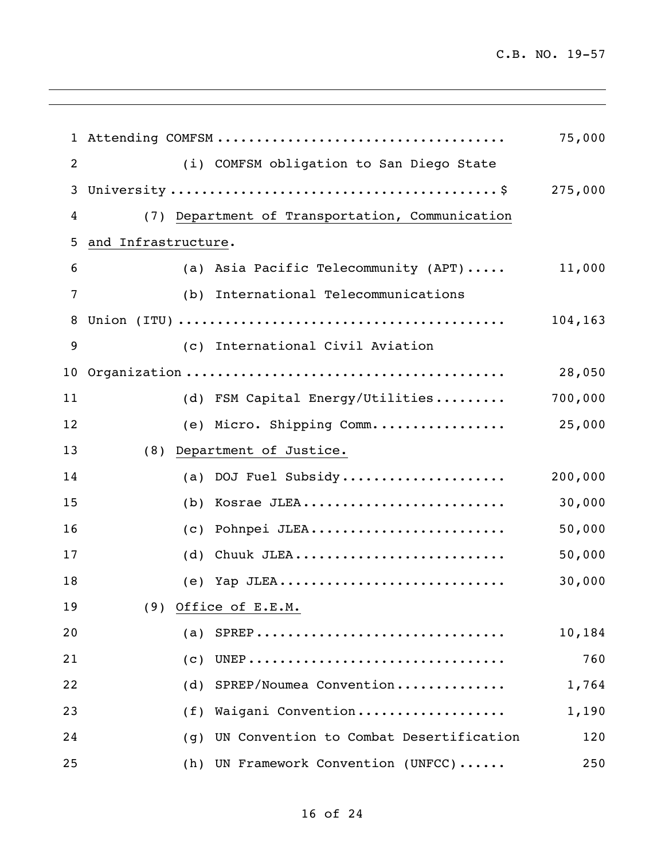|    |                     |                                                 | 75,000  |
|----|---------------------|-------------------------------------------------|---------|
| 2  |                     | (i) COMFSM obligation to San Diego State        |         |
| 3  |                     |                                                 | 275,000 |
| 4  |                     | (7) Department of Transportation, Communication |         |
| 5  | and Infrastructure. |                                                 |         |
| 6  |                     | (a) Asia Pacific Telecommunity (APT)            | 11,000  |
| 7  |                     | (b) International Telecommunications            |         |
| 8  |                     |                                                 | 104,163 |
| 9  |                     | (c) International Civil Aviation                |         |
| 10 |                     |                                                 | 28,050  |
| 11 |                     | (d) FSM Capital Energy/Utilities                | 700,000 |
| 12 |                     | (e) Micro. Shipping Comm                        | 25,000  |
| 13 | (8)                 | Department of Justice.                          |         |
| 14 |                     | (a) DOJ Fuel Subsidy                            | 200,000 |
| 15 |                     | $(b)$ Kosrae JLEA                               | 30,000  |
| 16 |                     | (c) Pohnpei JLEA                                | 50,000  |
| 17 |                     | (d) Chuuk JLEA                                  | 50,000  |
| 18 |                     | $(e)$ Yap JLEA                                  | 30,000  |
| 19 |                     | (9) Office of E.E.M.                            |         |
| 20 |                     | $(a)$ SPREP                                     | 10,184  |
| 21 | (C)                 |                                                 | 760     |
| 22 | (d)                 | SPREP/Noumea Convention                         | 1,764   |
| 23 | (f)                 | Waigani Convention                              | 1,190   |
| 24 | (g)                 | UN Convention to Combat Desertification         | 120     |
| 25 | (h)                 | UN Framework Convention (UNFCC)                 | 250     |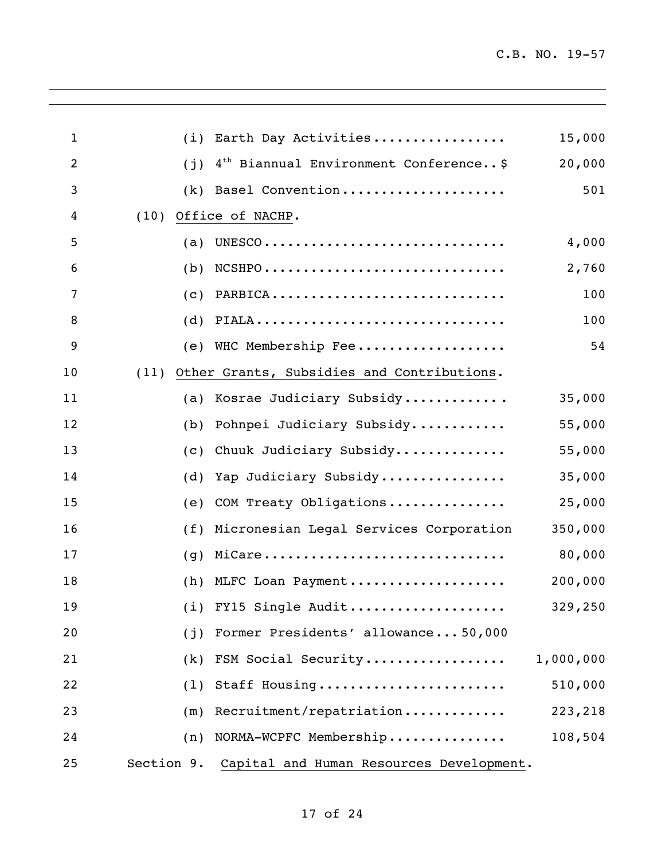| $\mathbf{1}$   | (i)        | Earth Day Activities                                                           | 15,000    |
|----------------|------------|--------------------------------------------------------------------------------|-----------|
| $\overline{2}$ | (i)        | $4th$ Biannual Environment Conference \$                                       | 20,000    |
| 3              | (k)        | Basel Convention                                                               | 501       |
| 4              | (10)       | Office of NACHP.                                                               |           |
| 5              | (a)        |                                                                                | 4,000     |
| 6              | (b)        | $NCSHPO \ldots \ldots \ldots \ldots \ldots \ldots \ldots \ldots \ldots \ldots$ | 2,760     |
| 7              | (c)        | PARBICA                                                                        | 100       |
| 8              | (d)        | PIALA                                                                          | 100       |
| 9              |            | (e) WHC Membership Fee                                                         | 54        |
| 10             | (11)       | Other Grants, Subsidies and Contributions.                                     |           |
| 11             | (a)        | Kosrae Judiciary Subsidy                                                       | 35,000    |
| 12             | (b)        | Pohnpei Judiciary Subsidy                                                      | 55,000    |
| 13             | (c)        | Chuuk Judiciary Subsidy                                                        | 55,000    |
| 14             | (d)        | Yap Judiciary Subsidy                                                          | 35,000    |
| 15             | (e)        | COM Treaty Obligations                                                         | 25,000    |
| 16             | (f)        | Micronesian Legal Services Corporation                                         | 350,000   |
| 17             | (q)        | MiCare                                                                         | 80,000    |
| 18             | (h)        | MLFC Loan Payment                                                              | 200,000   |
| 19             |            | (i) FY15 Single Audit                                                          | 329,250   |
| 20             | (j)        | Former Presidents' allowance50,000                                             |           |
| 21             | (k)        | FSM Social Security                                                            | 1,000,000 |
| 22             | (1)        | Staff Housing                                                                  | 510,000   |
| 23             | (m)        | Recruitment/repatriation                                                       | 223,218   |
| 24             | (n)        | NORMA-WCPFC Membership                                                         | 108,504   |
| 25             | Section 9. | Capital and Human Resources Development.                                       |           |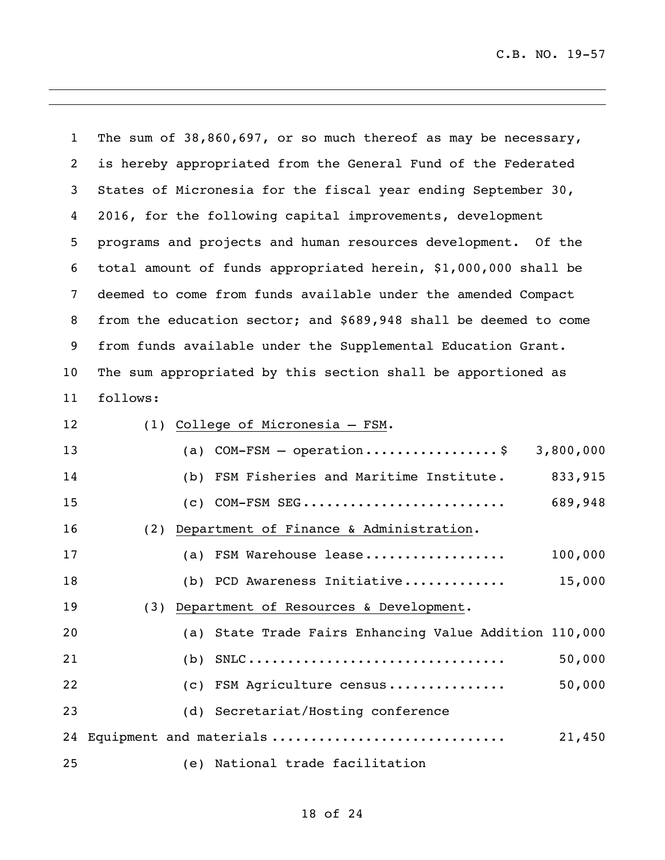The sum of 38,860,697, or so much thereof as may be necessary, is hereby appropriated from the General Fund of the Federated States of Micronesia for the fiscal year ending September 30, 2016, for the following capital improvements, development programs and projects and human resources development. Of the total amount of funds appropriated herein, \$1,000,000 shall be deemed to come from funds available under the amended Compact from the education sector; and \$689,948 shall be deemed to come from funds available under the Supplemental Education Grant. The sum appropriated by this section shall be apportioned as follows: (1) College of Micronesia – FSM.

| 13 |  | (a) $COM-FSM - operation \ldots \ldots \ldots \ldots$  | 3,800,000 |
|----|--|--------------------------------------------------------|-----------|
| 14 |  | (b) FSM Fisheries and Maritime Institute.              | 833,915   |
| 15 |  | $(c)$ COM-FSM SEG                                      | 689,948   |
| 16 |  | (2) Department of Finance & Administration.            |           |
| 17 |  | (a) FSM Warehouse lease                                | 100,000   |
| 18 |  | (b) PCD Awareness Initiative                           | 15,000    |
| 19 |  | (3) Department of Resources & Development.             |           |
| 20 |  | (a) State Trade Fairs Enhancing Value Addition 110,000 |           |
| 21 |  | (b) $SNLC$                                             | 50,000    |
| 22 |  | (c) FSM Agriculture census                             | 50,000    |
| 23 |  | (d) Secretariat/Hosting conference                     |           |
| 24 |  | Equipment and materials                                | 21,450    |
| 25 |  | (e) National trade facilitation                        |           |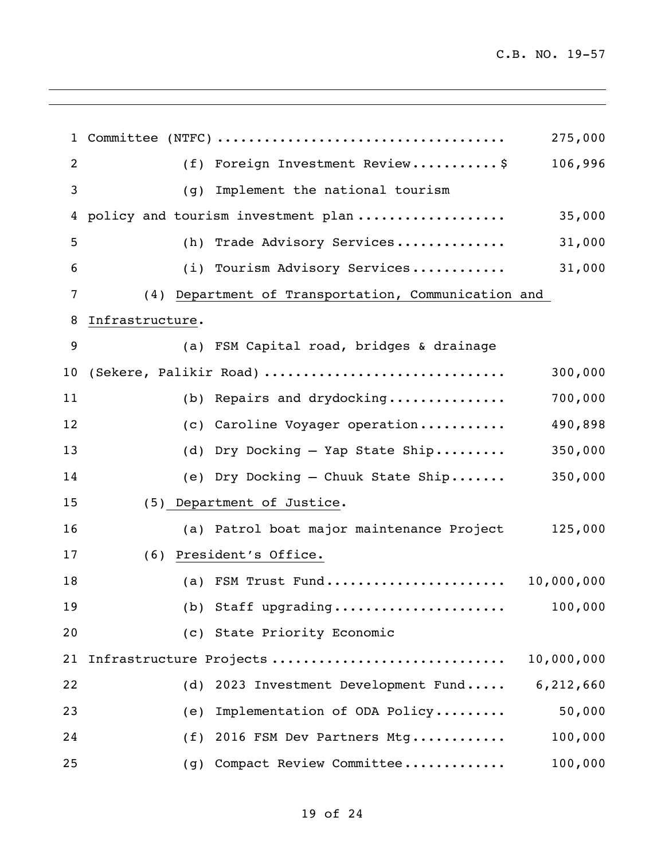|    |                 |                                                     | 275,000    |
|----|-----------------|-----------------------------------------------------|------------|
| 2  |                 | (f) Foreign Investment Review\$                     | 106,996    |
| 3  | (q)             |                                                     |            |
| 4  |                 | policy and tourism investment plan                  | 35,000     |
| 5  |                 | (h) Trade Advisory Services                         | 31,000     |
| 6  |                 | (i) Tourism Advisory Services                       | 31,000     |
| 7  |                 | (4) Department of Transportation, Communication and |            |
| 8  | Infrastructure. |                                                     |            |
| 9  |                 | (a) FSM Capital road, bridges & drainage            |            |
| 10 |                 | (Sekere, Palikir Road)                              | 300,000    |
| 11 |                 | (b) Repairs and drydocking                          | 700,000    |
| 12 |                 | (c) Caroline Voyager operation                      | 490,898    |
| 13 |                 | (d) Dry Docking - Yap State Ship                    | 350,000    |
| 14 |                 | (e) Dry Docking - Chuuk State Ship                  | 350,000    |
| 15 |                 | (5) Department of Justice.                          |            |
| 16 |                 | (a) Patrol boat major maintenance Project           | 125,000    |
| 17 | (6)             | President's Office.                                 |            |
| 18 |                 | (a) FSM Trust Fund 10,000,000                       |            |
| 19 |                 |                                                     | 100,000    |
| 20 |                 | (c) State Priority Economic                         |            |
| 21 |                 | Infrastructure Projects                             | 10,000,000 |
| 22 |                 | (d) 2023 Investment Development Fund                | 6,212,660  |
| 23 | (e)             | Implementation of ODA Policy                        | 50,000     |
| 24 |                 | (f) 2016 FSM Dev Partners Mtg                       | 100,000    |
| 25 |                 | (g) Compact Review Committee                        | 100,000    |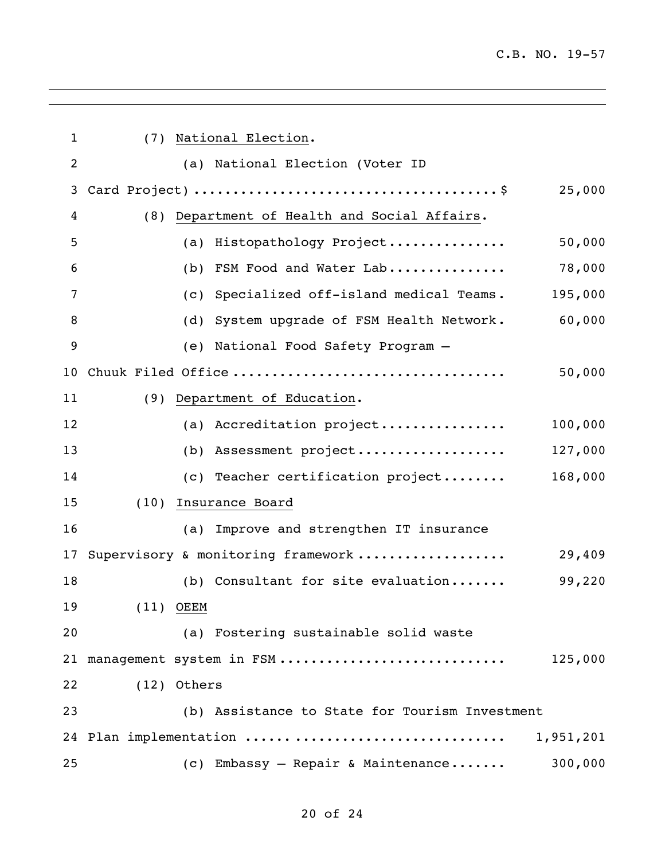| $\mathbf{1}$   | (7) National Election. |                                                      |  |  |  |  |
|----------------|------------------------|------------------------------------------------------|--|--|--|--|
| $\overline{2}$ |                        | (a) National Election (Voter ID                      |  |  |  |  |
| 3              |                        | 25,000                                               |  |  |  |  |
| 4              |                        | (8) Department of Health and Social Affairs.         |  |  |  |  |
| 5              |                        | 50,000<br>(a) Histopathology Project                 |  |  |  |  |
| 6              |                        | 78,000<br>(b) FSM Food and Water Lab                 |  |  |  |  |
| 7              |                        | 195,000<br>(c) Specialized off-island medical Teams. |  |  |  |  |
| 8              |                        | (d) System upgrade of FSM Health Network.<br>60,000  |  |  |  |  |
| 9              |                        | (e) National Food Safety Program -                   |  |  |  |  |
| 10             |                        | Chuuk Filed Office<br>50,000                         |  |  |  |  |
| 11             |                        | (9) Department of Education.                         |  |  |  |  |
| 12             |                        | (a) Accreditation project<br>100,000                 |  |  |  |  |
| 13             |                        | (b) Assessment project<br>127,000                    |  |  |  |  |
| 14             |                        | (c) Teacher certification project<br>168,000         |  |  |  |  |
| 15             |                        | (10) Insurance Board                                 |  |  |  |  |
| 16             |                        | (a) Improve and strengthen IT insurance              |  |  |  |  |
| 17             |                        | Supervisory & monitoring framework<br>29,409         |  |  |  |  |
| 18             |                        | (b) Consultant for site evaluation<br>99,220         |  |  |  |  |
| 19             | $(11)$ OEEM            |                                                      |  |  |  |  |
| 20             |                        | (a) Fostering sustainable solid waste                |  |  |  |  |
| 21             |                        | management system in FSM<br>125,000                  |  |  |  |  |
| 22             | (12) Others            |                                                      |  |  |  |  |
| 23             |                        | (b) Assistance to State for Tourism Investment       |  |  |  |  |
| 24             |                        | Plan implementation<br>1,951,201                     |  |  |  |  |
| 25             |                        | (c) Embassy - Repair & Maintenance<br>300,000        |  |  |  |  |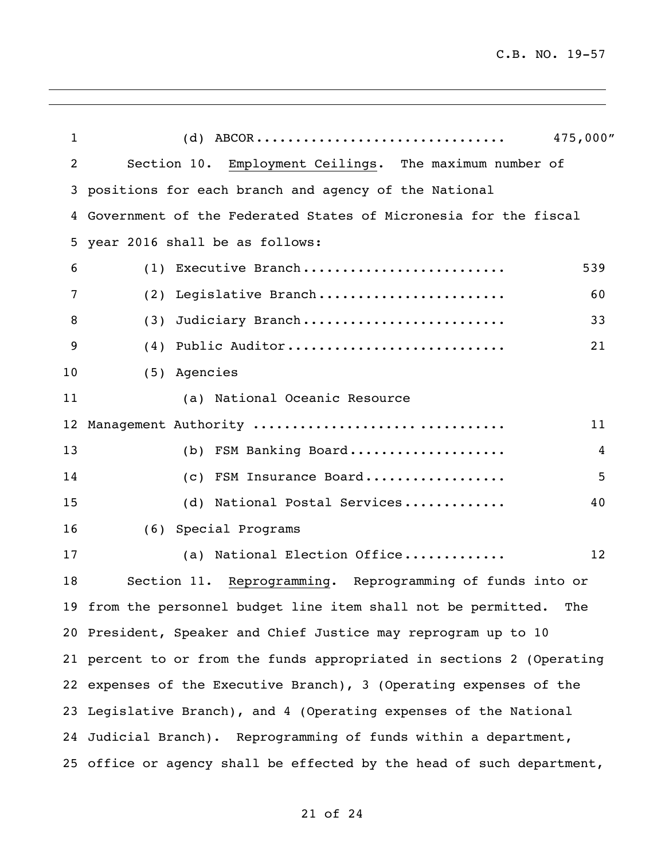| $\mathbf{1}$   | 475,000"<br>$(d)$ ABCOR                                               |     |  |  |  |
|----------------|-----------------------------------------------------------------------|-----|--|--|--|
| $\overline{2}$ | Section 10. Employment Ceilings. The maximum number of                |     |  |  |  |
| 3              | positions for each branch and agency of the National                  |     |  |  |  |
| 4              | Government of the Federated States of Micronesia for the fiscal       |     |  |  |  |
| 5              | year 2016 shall be as follows:                                        |     |  |  |  |
| 6              | (1) Executive Branch                                                  | 539 |  |  |  |
| 7              | (2) Legislative Branch                                                | 60  |  |  |  |
| 8              | Judiciary Branch<br>(3)                                               | 33  |  |  |  |
| 9              | Public Auditor<br>(4)                                                 | 21  |  |  |  |
| 10             | (5) Agencies                                                          |     |  |  |  |
| 11             | (a) National Oceanic Resource                                         |     |  |  |  |
| 12             | Management Authority                                                  | 11  |  |  |  |
| 13             | FSM Banking Board<br>(b)                                              | 4   |  |  |  |
| 14             | FSM Insurance Board<br>(C)                                            | 5   |  |  |  |
| 15             | National Postal Services<br>(d)                                       | 40  |  |  |  |
| 16             | (6) Special Programs                                                  |     |  |  |  |
| 17             | National Election Office<br>(a)                                       | 12  |  |  |  |
| 18             | Section 11. Reprogramming. Reprogramming of funds into or             |     |  |  |  |
|                | 19 from the personnel budget line item shall not be permitted. The    |     |  |  |  |
|                | 20 President, Speaker and Chief Justice may reprogram up to 10        |     |  |  |  |
|                | 21 percent to or from the funds appropriated in sections 2 (Operating |     |  |  |  |
|                | 22 expenses of the Executive Branch), 3 (Operating expenses of the    |     |  |  |  |
|                | 23 Legislative Branch), and 4 (Operating expenses of the National     |     |  |  |  |
|                | 24 Judicial Branch). Reprogramming of funds within a department,      |     |  |  |  |
|                | 25 office or agency shall be effected by the head of such department, |     |  |  |  |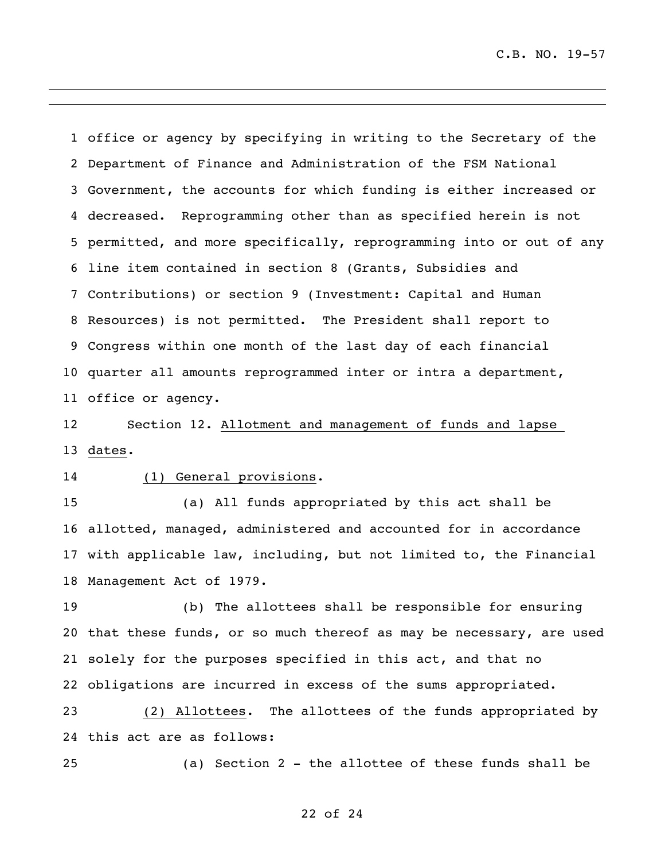office or agency by specifying in writing to the Secretary of the Department of Finance and Administration of the FSM National Government, the accounts for which funding is either increased or decreased. Reprogramming other than as specified herein is not permitted, and more specifically, reprogramming into or out of any line item contained in section 8 (Grants, Subsidies and Contributions) or section 9 (Investment: Capital and Human Resources) is not permitted. The President shall report to Congress within one month of the last day of each financial quarter all amounts reprogrammed inter or intra a department, office or agency.

 Section 12. Allotment and management of funds and lapse dates.

### (1) General provisions.

 (a) All funds appropriated by this act shall be allotted, managed, administered and accounted for in accordance with applicable law, including, but not limited to, the Financial Management Act of 1979.

 (b) The allottees shall be responsible for ensuring that these funds, or so much thereof as may be necessary, are used solely for the purposes specified in this act, and that no obligations are incurred in excess of the sums appropriated.

 (2) Allottees. The allottees of the funds appropriated by this act are as follows:

(a) Section 2 - the allottee of these funds shall be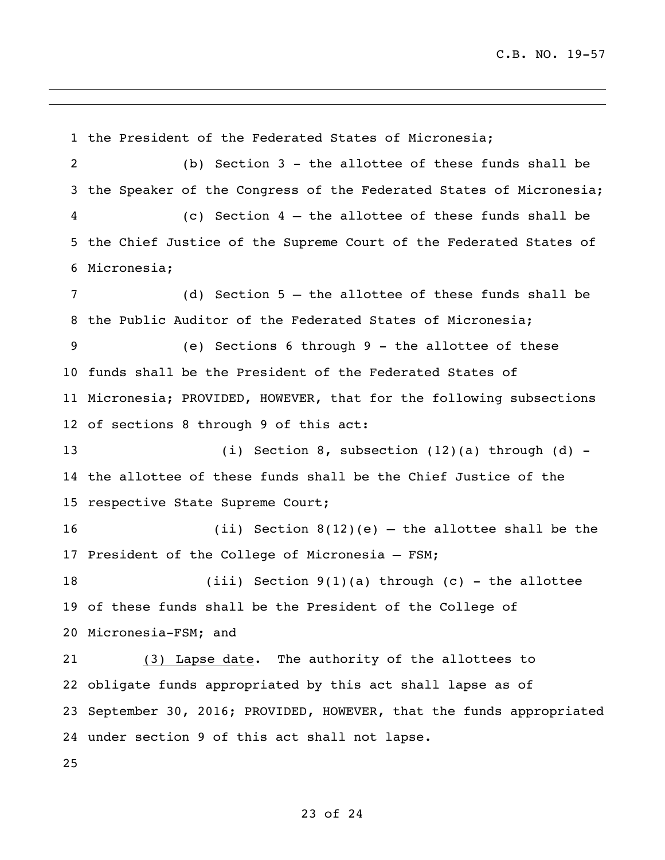the President of the Federated States of Micronesia; (b) Section 3 - the allottee of these funds shall be 3 the Speaker of the Congress of the Federated States of Micronesia; (c) Section 4 – the allottee of these funds shall be the Chief Justice of the Supreme Court of the Federated States of Micronesia; (d) Section 5 – the allottee of these funds shall be the Public Auditor of the Federated States of Micronesia; (e) Sections 6 through 9 - the allottee of these funds shall be the President of the Federated States of Micronesia; PROVIDED, HOWEVER, that for the following subsections of sections 8 through 9 of this act: (i) Section 8, subsection (12)(a) through (d) - the allottee of these funds shall be the Chief Justice of the respective State Supreme Court; (ii) Section 8(12)(e) – the allottee shall be the President of the College of Micronesia – FSM; (iii) Section 9(1)(a) through (c) - the allottee of these funds shall be the President of the College of Micronesia-FSM; and (3) Lapse date. The authority of the allottees to obligate funds appropriated by this act shall lapse as of September 30, 2016; PROVIDED, HOWEVER, that the funds appropriated under section 9 of this act shall not lapse.